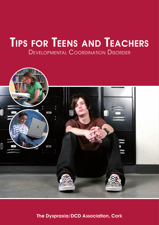# Tips for Teens and Teachers Developmental Coordination Disorder



The Dyspraxia/DCD Association, Cork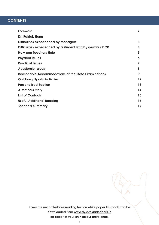# **CONTENTS**

| Foreword                                                   | $\overline{2}$ |
|------------------------------------------------------------|----------------|
| <b>Dr. Patrick Henn</b>                                    |                |
| Difficulties experienced by teenagers                      | $\mathbf{3}$   |
| Difficulties experienced by a student with Dyspraxia / DCD | 4              |
| <b>How can Teachers Help</b>                               | 5              |
| <b>Physical Issues</b>                                     | 6              |
| <b>Practical Issues</b>                                    |                |
| <b>Academic Issues</b>                                     | 8              |
| Reasonable Accommodations at the State Examinations        | 9              |
| <b>Outdoor / Sports Activities</b>                         | 12             |
| <b>Personalised Section</b>                                | 13             |
| <b>A Mothers Story</b>                                     | 14             |
| <b>List of Contacts</b>                                    | 15             |
| <b>Useful Additional Reading</b>                           | 16             |
| <b>Teachers Summary</b>                                    | 17             |
|                                                            |                |

If you are uncomfortable reading text on white paper this pack can be downloaded from www.dyspraxiadcdcork.ie on paper of your own colour preference.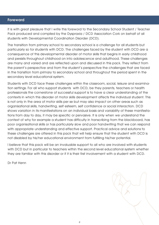# Foreward

It is with great pleasure that I write this foreword to the Secondary School Student / Teacher Pack produced and compiled by the Dyspraxia / DCD Association Cork on behalf of all students with Developmental Coordination Disorder (DCD).

The transition from primary school to secondary school is a challenge for all students but particularly so for students with DCD. The challenges faced by the student with DCD are a consequence of this developmental disorder of motor skills that begins in early childhood and persists throughout childhood on into adolescence and adulthood. These challenges are many and varied and are reflected upon and discussed in this pack. They reflect from the parent's perspective and from the student's perspective the challenges that are faced in the transition from primary to secondary school and throughout the period spent in the secondary level educational system.

Students with DCD face these challenges within the classroom, social, leisure and examination settings. For all who support students with DCD, be they parents, teachers or health professionals the cornerstone of successful support is to have a clear understanding of the contexts in which this disorder of motor skills development affects the individual student. This is not only in the area of motor skills per se but may also impact on other areas such as organisational skills, handwriting, self esteem, self confidence or social interaction. DCD shows variation in its manifestations on an individual basis and variability of these manifestations from day to day, it may be specific or pervasive. It is only when we understand the context of why for example a student has difficulty in transcribing from the blackboard, has poor organisational skills or has particularly slow and poor handwriting that we can respond with appropriate understanding and effective support. Practical advice and solutions to these challenges are offered in this pack that will help ensure that the student with DCD is not disabled by his/her educational environment from fulfilling his/her potential.

I believe that this pack will be an invaluable support to all who are involved with students with DCD but in particular to teachers within the second level educational system whether they are familiar with this disorder or if it is their first involvement with a student with DCD.

Dr Pat Henn

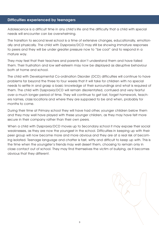# Difficulties experienced by teenagers

Adolescence is a difficult time in any child's life and the difficulty that a child with special needs will encounter can be overwhelming.

The transition to second level school is a time of extensive changes, educationally, emotionally and physically. The child with Dyspraxia/DCD may still be showing immature responses to peers and they will be under greater pressure now to "be cool" and to respond in a mature way.

They may feel that their teachers and parents don't understand them and have failed them. Their frustration and low self-esteem may now be displayed as disruptive behaviour both at home and school.

The child with Developmental Co-ordination Disorder (DCD) difficulties will continue to have problems far beyond the three to four weeks that it will take for children with no special needs to settle in and grasp a basic knowledge of their surroundings and what is required of them. The child with Dyspraxia/DCD will remain disorientated, confused and very fearful over a much longer period of time. They will continue to get lost, forget homework, teachers names, class locations and where they are supposed to be and when, probably for months to come.

During their time at Primary school they will have had other, younger children below them and they may well have played with these younger children, as they may have felt more secure in their company rather than their own peers.

When a child with Dyspraxia/DCD moves up to Secondary school it may expose their social weaknesses, as they are now the youngest in the school. Difficulties in keeping up with their peer group will now become more and more obvious and they are at a real risk of becoming isolated. Teenage language and chatter is fast, witty and difficult to keep up with. This is the time when the youngster's friends may well desert them, choosing to remain only in close contact out of school. They may find themselves the victim of bullying, as it becomes obvious that they different.

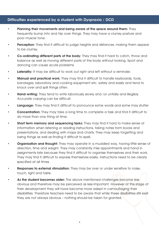# Difficulties experienced by a student with Dyspraxia / DCD

- Planning their movements and being aware of the space around them: They frequently bump into and trip over things. They may have a clumsy posture and poor muscle tone.
- **Perception:** They find it difficult to judge heights and distances, making them appear to be clumsy.
- Co-ordinating different parts of the body: They may find it hard to catch, throw and balance as well as moving different parts of the body without looking. Sport and dancing can cause acute problems
- Laterality: It may be difficult to work out right and left without a reminder.
- Manual and practical work: They may find it difficult to handle keyboards, tools, bandages, laboratory and cooking equipment etc. safely and easily and tend to knock over and spill things often.
- **Hand-writing:** They tend to write laboriously slowly and /or untidily and illegibly. Accurate copying can be difficult.
- **Language:** They may find it difficult to pronounce some words and some may stutter
- **Concentration:** They may take a long time to complete a task and find it difficult to do more than one thing at time.
- **Short term memory and sequencing tasks:** They may find it hard to make sense of information when listening or reading instructions, taking notes from books and presentations, and dealing with maps and charts. They may keep forgetting and losing things as well as finding it difficult to spell.
- **Organisation and thought:** They may operate in a muddled way, having little sense of direction, time and weight. They may constantly miss appointments and hand in assignments late because they find it difficult to organise themselves and their work. They may find it difficult to express themselves easily. Instructions need to be clearly specified at all times
- **Responses to external stimulation:** They may be over or under sensitive to noise, touch, light and taste.
- As the student becomes older: The above mentioned challenges become less obvious and therefore may be perceived as less important. However at this stage of their development they will have become more adept in camouflaging their disabilities. Therefore teachers need to be aware that while these disabilities still exist they are not always obvious – nothing should be taken for granted.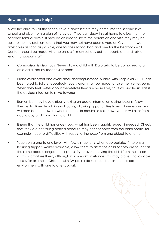# How can Teachers Help?

Allow the child to visit the school several times before they come into the second level school and give them a plan of its lay out. They can study this at home to allow them to become familiar with it. It may be an idea to invite the parent on one visit: they may be able to identify problem areas that you may not have been aware of. Give them two timetables as soon as possible, one for their school bag and one for the bedroom wall. Contact should be made with the child's Primary school, collect reports etc and talk at length to support staff.

- Comparison is disastrous. Never allow a child with Dyspraxia to be compared to an able child. Not by teachers or peers.
- Praise every effort and every small accomplishment. A child with Dyspraxia / DCD has been used to failure repeatedly: every effort must be made to raise their self-esteem. When they feel better about themselves they are more likely to relax and learn. This is the obvious situation to strive towards.
- Remember they have difficulty taking on board information during lessons. Allow them extra time: teach in small bursts, allowing opportunities to rest, if necessary. You will soon become aware when each child requires a rest. However this will alter from day to day and from child to child.
- Ensure that the child has understood what has been taught, repeat if needed. Check that they are not falling behind because they cannot copy from the blackboard, for example – due to difficulties with repositioning gaze from one object to another.
- Teach on a one to one level, with few distractions, when appropriate. If there is a learning support worker available, allow them to assist the child so they are taught at the same pace alongside their peers. Try to avoid moving the child from the lesson as this stigmatises them, although in some circumstances this may prove unavoidable - tests, for example. Children with Dyspraxia do so much better in a relaxed environment with one to one support.

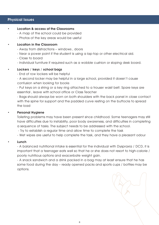# Physical Issues

## • Location & access of the Classrooms

- A map of the school could be provided
- Photos of the key areas would be useful

#### • Location in the Classroom

- Away from distractions windows , doors
- Near a power point if the student is using a lap-top or other electrical aid.
- Close to board
- Individual furniture if required such as a wobble cushion or sloping desk board.

# Lockers / keys / school bags

- End of row lockers will be helpful

- A second locker may be helpful in a large school, provided it doesn't cause confusion when looking for books

- Put keys on a string or a key ring attached to a trouser waist belt. Spare keys are essential , leave with school office or Class Teacher

- Bags should always be worn on both shoulders with the back panel in close contact with the spine for support and the padded curve resting on the buttocks to spread the load

## Personal Hygiene

Toileting problems may have been present since childhood. Some teenagers may still have difficulties due to instability, poor body awareness, and difficulties in completing a sequence of tasks. The subject needs to be addressed with the school.

- Try to establish a regular time and allow time to complete the task

- Wet wipes are useful to help complete the task, and they have a pleasant odour

## **Lunch**

- A balanced nutritional intake is essential for the individual with Dyspraxia / DCD, it is important that a teenager eats well so that he or she does not resort to high-calorie / poorly nutritious options and exacerbate weight gain.

- A snack sandwich and a drink packed in a bag may at least ensure that he has some food during the day – ready opened packs and sports cups / bottles may be options.

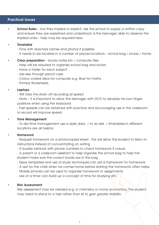# Practical Issues

**School Rules -** Are they implied or explicit, ask the school to supply a written copy and ensure they are explained and understood. Is the teenager able to observe the implied ones – help may be required here

## **Timetable**

- One with teachers names and photos if possible
- It needs to be located in a number of places locations school bag / locker / home
- **Class preparation** books notes etc / computer files
	- Help will be required to organise school bag and locker
	- Have a folder for each subject
	- Use see through pencil case
	- Colour coded discs for computer e.g. Blue for maths
	- Printed Worksheets

## • Laptops

- Will take the strain off recording at speed

- Note – it is important to allow the teenager with DCD to develop his own finger positions when using the keyboard

- Fast speeds can be obtained with practice and encouraging use in the classroom to record will improve speed

#### • Time Management

- To aid time management use a daily dairy / to do lists / timetables in different locations are all helpful

#### • Homework

- Request homework on a photocopied sheet , this will allow the student to listen to instructions instead of concentrating on writing

- A buddy network with phone numbers to check homework if unsure
- A parent or a classroom assistant to help organise the school bag to help the student make sure the correct books are in the bag
- Essay templates and use of study techniques can aid a framework for homework
- A rest for the child when he comes home before starting the homework often helps
- Mobile phones can be used to organise homework or assignments
- Use of a timer can build up a concept of time for studying etc

#### • Risk Assessment

Risk assessment may be needed e.g. in chemistry or home economics. The student may need to stand to a task rather than sit to gain greater stability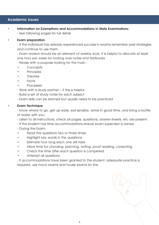# Academic Issues

- Information on Exemptions and Accommodations in State Examinations
	- See following pages for full detail

## **Exam preparation**

- If the individual has already experienced success in exams remember past strategies and continue to use them

- Exam revision should be an element of weekly work. It is helpful to allocate at least one hour per week for looking over notes and textbooks

- Revise with a purpose looking for the main ;

- Concepts
- Principles
- **Theories**
- Facts
- Processes

- Work with a study partner – if this is helpful

- Build a set of study notes for each subject
- Exam skills can be learned but usually need to be practiced

#### • Exam Technique

- Know where to go, get up early, eat sensibly, arrive in good time, and bring a bottle of water with you.

- Listen to all instructions, check all pages, questions, answer sheets, etc are present.
- If the student has time accommodations ensure exam supervisor is aware.
- During the Exam;
- Read the questions two or three times
- Highlight key words in the questions
- Estimate how long each one will take
- Allow time for choosing, planning, writing, proof reading, correcting.
- Check the time after each question is completed
- Attempt all questions

- If accommodations have been granted to the student, adequate practice is required, use mock exams and house exams for this.

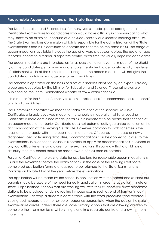# Reasonable Accommodations at the State Examinations

The Dept Education and Science has, for many years, made special arrangements in the Certificate Examinations for candidates who would have difficulty in communicating what they know to an examiner because of a physical, sensory or a specific learning difficulty. The State Examinations Commission which is responsible for the administration of the State examinations since 2003 continues to operate the scheme on the same basis. The range of accommodations available includes the use of a word processor, laptop, the use of a tape recorder, access to a reader, a separate centre, extra time for visually impaired candidates.

The accommodations are intended, as far as possible, to remove the impact of the disability on the candidates performance and enable the student to demonstrate fully their level of attainment while at the same time ensuring that the accommodation will not give the candidate an unfair advantage over other candidates.

The scheme is operated on the basis of a set of principles identified by an expert Advisory group and accepted by the Minister for Education and Science. These principles are published on the State Examinations website at www.examinations.ie

It is a matter for the School Authority to submit applications for accommodations on behalf of school candidates.

The Commission operates two models for administration of the scheme. At Junior Certificate, a largely devolved model to the schools is in operation while at Leaving Certificate a more centralised model pertains. It is important to be aware that sanction of an accommodation at Junior Certificate does not automatically guarantee sanction of the accommodation at the Leaving Certificate. However, common to both schemes is the requirement to apply within the published time frames. Of course, in the case of newly diagnosed specific learning difficulties, accommodations can be applied for closer to the examinations. In exceptional cases, it is possible to apply for accommodations in respect of physical difficulties emerging closer to the examinations. If you know that a child has a difficulty then the school should be made aware of it as soon as possible.

For Junior Certificate, the closing date for applications for reasonable accommodations is usually the November before the examinations. In the case of the Leaving Certificate, completed application forms are required to be returned to the State Examinations Commission by late May of the year before the examinations.

The application will be made by the school in conjunction with the parent and student but parents should be aware of the need for early application in order to avoid last minute or stressful applications. Schools that are working well with their students will allow accommodations to be provided for during routine in-house exams such as end of term or 'mock' examinations. This way, a student is comfortable with the word processor, tape recorder, sloping desk, separate centre, scribe or reader as appropriate when the day of the state examinations arrives. Indeed there are some primary schools that are allowing children to complete their 'summer tests' while sitting alone in a separate centre and allowing them more time.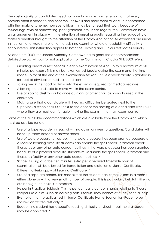The vast majority of candidates need no more than an examiner ensuring that every possible effort is made to decipher their answers and mark them reliably, in accordance with the marking scheme, however difficult it may be to read their work because of misspellings, style of handwriting, poor grammar, etc. In this regard, the Commission have an arrangement in place with the intention of ensuring equity regarding the readability of material whether brought to the attention of the Commission or not. All examiners are under instruction to forward material to the advising examiner where a readability difficulty is encountered. This instruction applies to both the Leaving and Junior Certificates equally.

As and from 2000, the school Authority is empowered to grant the accommodations detailed below without formal application to the Commission. Circular S11/2000 refers.

- Granting breaks or rest periods in each examination session up to a maximum of 20 minutes per exam. This may be taken as rest breaks during the exam and the time made up for at the end of the examination session. This rest break facility is granted in respect of physical or medical conditions.
- Taking medicine, food or drinks into the exam as required for medical reasons.
- Allowing the candidate to move within the exam centre.
- Use of sloping desktop or balance cushions or other chair as normally used in the classroom.
- Making sure that a candidate with hearing difficulties be seated next to the supervisor, a wheelchair user next to the door or the seating of a candidate with DCD where they are most comfortable if taking the exam in the main exam centre.

Some of the available accommodations which are available from the Commission which must be applied for are:

- Use of a tape recorder instead of writing down answers to questions. Candidates will hand up tapes instead of answer sheets. \*
- Use of word processor or laptop. If the word processor has been granted because of a specific learning difficulty students can enable the spell check, grammar check, thesaurus or any other auto correct facilities. If the word processor has been granted because of a physical difficulty, students must disable the spell check, grammar and thesaurus facility or any other auto correct facilities. \*
- Scribe. If using a scribe, ten minutes extra per scheduled timetable hour of examination will be allowed for transcription and dictation at Junior Certificate. Different criteria apply at Leaving Certificate. \*
- Use of a separate centre. This means that the student can sit their exam in a room either alone or with a very small number of people. This is particularly helpful if filtering out background noise is a problem.
- Helper in Practical Subjects. This helper can carry out commands relating to 'house keeper-like duties' such as carrying pots, utensils. They cannot offer any factual help.
- Exemption from practical test in Junior Certificate Home Economics. Paper to be marked on written test only. \*
- Reader: If a student has a specific reading difficulty or visual impairment a reader may be appointed. \*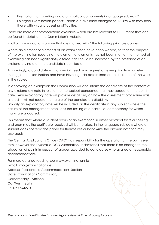- Exemption from spelling and grammatical components in language subjects.\*
- Enlarged Examination papers: Papers are available enlarged to A3 size with may help those with visual processing difficulties.

There are more accommodations available which are less relevant to DCD teens that can be found in detail on the Commission's website.

In all accommodations above that are marked with \* the following principle applies;

Where an element or elements of an examination have been waived, so that the purpose of the examination regarding the element or elements has not been met, or the method of examining has been significantly altered; this should be indicated by the presence of an explanatory note on the candidate's certificate.

Accordingly, a candidate with a special need may request an exemption from an element(s) of an examination and have his/her grade determined on the balance of the work in the subject.

In approving an exemption the Commission will also inform the candidate of the content of any explanatory note in relation to the subject concerned that may appear on the certificate. Any explanatory note will provide detail only on how the assessment procedure was altered. It will not record the nature of the candidate's disability.

Similarly an explanatory note will be included on the certificate in any subject where the nature of the arrangement precludes the testing of a particular competency for which marks are allocated.

This means that where a student avails of an exemption in either practical tasks or spelling and grammar, the certificate received will be notated. In the language subjects where a student does not read the paper for themselves or handwrite the answers notation may also apply.

The Central Applications Office (CAO) has responsibility for the operation of the points system, however the Dyspraxia/DCD Association understands that there is no change to the allocation of points in respect of grades awarded to candidates who availed of reasonable accommodations.

For more detailed reading see www.examinations.ie E-mail: info@examinations.ie Address: Reasonable Accommodations Section State Examinations Commission, Cornamaddy, Athlone, Co. Westmeath Ph: 090-6442700

The notation of certificates is under legal review at time of going to press.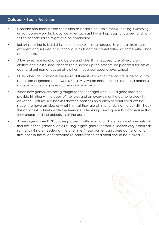# Outdoor / Sports Activities

- Consider non team based sport such as badminton, table tennis, fencing, swimming, or trampoline work. Individual activities such as hill-walking, jogging, canoeing, dinghy sailing or horse-riding might also be considered.
- Ball skills training to build skills one to one or in small groups. Basket ball training is excellent and skills learnt in school or a club can be consolidated at home with a ball and a hoop.
- Allow extra time for changing before and after if it is required. Use of Velcro on clothes and elastic shoe laces will help speed up the process. Be prepared for loss of gear and put name tags on all clothes throughout second level school.
- PE teacher should choose the teams if there is any hint of the individual being last to be picked or ignored each week. Sensitivity will be needed in this area and perhaps a break from team games occasionally may help.
- When new games are being taught to the teenager with DCD a good idea is to provide him/her with a copy of the rules and an overview of the game to study in advance. Pictures in a booklet showing positions on a pitch or court will allow the student to have an idea of what it is that they are aiming for during the activity. Break the action into chunks while the teenager is learning a new game but do be sure that they understand the objectives of the game.
- A teenager whose DCD causes problems with moving and listening simultaneously will find fast action games such as hurling, rugby, gaelic football or soccer very difficult as so many skills are needed at the one time. These games can cause confusion and frustration in the student affected so participation and effort should be praised.

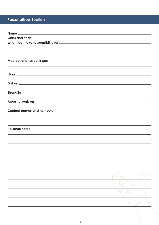# Personalised Section

| Name_                                                                                                                                                                                                                                |  |
|--------------------------------------------------------------------------------------------------------------------------------------------------------------------------------------------------------------------------------------|--|
|                                                                                                                                                                                                                                      |  |
|                                                                                                                                                                                                                                      |  |
|                                                                                                                                                                                                                                      |  |
|                                                                                                                                                                                                                                      |  |
| <u> 1989 - Andrea Santa Andrea Santa Andrea Santa Andrea Santa Andrea Santa Andrea Santa Andrea Santa Andrea San</u>                                                                                                                 |  |
|                                                                                                                                                                                                                                      |  |
|                                                                                                                                                                                                                                      |  |
| ,我们也不能在这里的时候,我们也不能在这里的时候,我们也不能会在这里的时候,我们也不能会在这里的时候,我们也不能会在这里的时候,我们也不能会在这里的时候,我们也                                                                                                                                                     |  |
|                                                                                                                                                                                                                                      |  |
|                                                                                                                                                                                                                                      |  |
| <u> 1989 - Johann Stoff, amerikansk politiker (d. 1989)</u>                                                                                                                                                                          |  |
|                                                                                                                                                                                                                                      |  |
| <u> 1989 - Johann Stoff, amerikansk politiker (d. 1989)</u>                                                                                                                                                                          |  |
|                                                                                                                                                                                                                                      |  |
|                                                                                                                                                                                                                                      |  |
| Areas to work on <b>with a set of the contract of the contract of the contract of the contract of the contract of the contract of the contract of the contract of the contract of the contract of the contract of the contract o</b> |  |
|                                                                                                                                                                                                                                      |  |
|                                                                                                                                                                                                                                      |  |
|                                                                                                                                                                                                                                      |  |
|                                                                                                                                                                                                                                      |  |
|                                                                                                                                                                                                                                      |  |
| Personal notes <u>experiences</u> and a series of the series of the series of the series of the series of the series of the series of the series of the series of the series of the series of the series of the series of the serie  |  |
|                                                                                                                                                                                                                                      |  |
|                                                                                                                                                                                                                                      |  |
|                                                                                                                                                                                                                                      |  |
|                                                                                                                                                                                                                                      |  |
|                                                                                                                                                                                                                                      |  |
|                                                                                                                                                                                                                                      |  |
|                                                                                                                                                                                                                                      |  |
|                                                                                                                                                                                                                                      |  |
|                                                                                                                                                                                                                                      |  |
|                                                                                                                                                                                                                                      |  |
|                                                                                                                                                                                                                                      |  |
|                                                                                                                                                                                                                                      |  |
|                                                                                                                                                                                                                                      |  |
|                                                                                                                                                                                                                                      |  |
|                                                                                                                                                                                                                                      |  |
|                                                                                                                                                                                                                                      |  |
|                                                                                                                                                                                                                                      |  |
|                                                                                                                                                                                                                                      |  |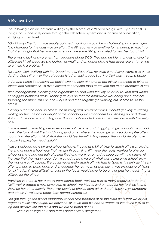## A Mothers Story

The following is an extract from writings by the Mother of a 21 year old girl with Dyspraxia/DCD. This girl has successfully come through the Irish school system and is, at time of publication, studying at third level.

"On PE days the 'form' was usually agitated knowing it would be a challenging day, even getting changed for the class was an effort. The PE teacher was sensitive to her needs, so much so that she thought that her younger sister had the same 'thing' and tried to help her too at PE!

There was a lack of awareness from teachers about DCD. They had problems understanding her difficulties I think because she looked 'normal' and on paper always had good results –"Are you sure there is a problem?"

For Junior Cert, battling with the Department of Education for extra time during exams was a hassle. She didn't fit any of the categories listed on their paper. Leaving Cert wasn't such a battle.

In Art and Home Economics we could give her help at home to get things organised to bring to school and sometimes we even helped to complete tasks to prevent too much frustration in her.

Time management, planning and organisational skills were the key issues for us. That was where her biggest problems arose. Keeping an eye on that the homework was being done and not spending too much time on one subject and then forgetting or running out of time to do the others.

Getting out of the door on time in the morning was difficult at times. It could get very frustrating waiting for her. The actual weight of the schoolbag was a concern too. Walking up and down stairs and the concern of falling over. She actually toppled over in the street once with the weight of it!

It was upsetting watching her so exhausted all the time and struggling to get through the school work. She talks about the 'noddy dog syndrome' where she would get so tired during the afternoons from the effort of it all that she would feel herself falling asleep. She would literally have trouble keeping her head upright.

I always enjoyed days off and school holidays. It gave us a bit of time to switch off. I was glad at the end of each school year that we got through it. In fifth year she really wanted to give up school as she'd had enough of being tired and working so hard to keep up with the others. All the time that she was in secondary we had to be aware of what was going on in school. How she was or wasn't coping. We could never really switch off. We had to listen to "I can't do it" very often but had to stand back and encourage her as much as possible. It was exhausting at times for all the family and difficult as a lot of the focus would have to be on her and her needs. That is difficult for the others.

Transition year gave her a break from intense book work but with so many modules to do and 'self' work it added a new dimension to school. We tried to find an area for her to shine in and show off her other talents. There was plenty of choice from art and craft, music, mini company and others. A welcome break from normal homework.

She got through the whole secondary school time because of all the extra work that we all did together. It was very tough, we could never let up and we had to watch as she found it all so tiring and difficult. But she did it and we are so proud of her.

She is in college now and that's another story altogether!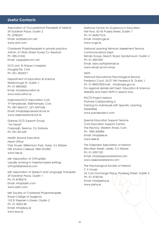# Useful Contacts

Association of Occupational Therapists of Ireland 29 Gardiner Place, Dublin 2 Ph: 8780247 Email: aoti@eircom.net www.aoti.com

Chartered Physiotherapists in private practice Admin: 67 Main Street Gorey Co Wexford Ph: 055-21226 Email: cppp@eircom.net

DCD Unit, St Finbarr's Hospital Douglas Rd, Cork Ph: 021-4923071

Department of Education & Science Marlborough St, Dublin 1. Ph: 01-8896400 Email: info@education.ie www.education.ie

Dyspraxia/DCD Association Cork 19 Templevale, Ballintemple, Cork. Ph: 087-6563121, 021-4291046 Email: info@dyspraxiadcdcork.ie www.dyspraxiadcdcork.ie

Galway DCD Support Group "An Nead" Cappagh, Bearna, Co Galway Ph: 091-591449

Health Service Executive Head Office Oak House, Millennium Park, Naas, Co Kildare HSE Infoline Callsave 1850 241850 www.hse.ie

Irish Association of Orthoptists (usually working in hospital based setting) orthoptist@ireland.com

Irish Association of Speech and Language Therapists 29 Gardiner Place, Dublin 1 Ph: 01-8780215 Email: info@iasth.com www.iasth.com

Irish Society of Chartered Physiotherapists Royal College of Surgeons 123 St Stephen's Green, Dublin 2 Ph: 01-4022148 Email: info@iscp.ie www.iscp.ie

National Centre for Guidance in Education First floor, 42-43 Prussia Street, Dublin 7 Ph: 01 8690715/6 Email: info@ncge.ie www.ncge.ie

National Learning Network Assessment Service Communications Dept, Rehab Group, Beach Road, Sandymount, Dublin 4 Ph: 01-2057200 Email: dara.duffy@rehab.ie www.rehab.ie/nln/nlnas

#### NEPS

National Educational Psychological Service Frederick Court, 24-27 Nth Frederick St, Dublin 1. Ph: 01-8892700Email: info@neps.gov.ie For regional details visit Dept. Education & Science Website and insert NEPS in search box.

PACTS Project Ireland Partners Collaborating in Training for Individuals with Specific Learning Disabilities www.pactsproject.com

Special Education Support Service Cork Education Support Centre The Rectory, Western Road, Cork Ph: 1850-200884 Email: info@sess.ie www.sess.ie

The Dyspraxia Association of Ireland 69a Main Street, Leixlip, Co Kildare Ph: 01-2957125 Email: info@dyspraxiaireland.com www.dyspraxiaireland.com

The Psychological Society of Ireland C X House 2A Corn Exchange Place, Poolbeg Street, Dublin 2 Ph: 01-4749160 Email: info@psihq.ie www.psihq.ie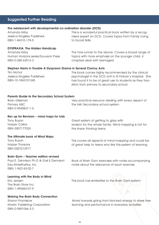# Suggested Further Reading

## The adolescent with developmental co-ordination disorder (DCD)

Amanda Kirby Jessica Kingsley Publishers ISBN 1-84310-178-5

This is a wonderful practical book written by a recognised expert on DCD. Covers topics from Family Living to Social Skills

## DYSPRAXIA. The Hidden Handicap

Amanda Kirby Human Horizons series/Souvenir Press ISBN 0-285-63512-3

The fore-runner to the above. Covers a broad range of topics with more emphasis on the younger child. 4 chapters deal with teenagers

# Stephen Harris in Trouble-A Dyspraxic Drama in Several Clumsy Acts

Tim Nichol Jessica Kingsley Publishers ISBN-10-1843101345 This book comes highly recommended by the clinical psychologist in the DCD Unit in St Finbarr's Hospital. She has found it to be of great use to students as they transition from primary to secondary school

# Parents Guide to the Secondary School System

Brian Gilsenan Primary ABC ISBN 0-9545837-1-X Very practical resource dealing with every aspect of the Irish Secondary school system

# Rev up for Revision – mind maps for kids

Tony Buzan Harper Collins ISBN 000717702X Great system of getting to grips with revision for the whole family. Mind mapping is not for the linear thinking teens

# The Ultimate book of Mind Maps

Tony Buzan Harper Thorsons ISBN 0007212917 This covers all aspects of mind mapping and could be of great help to teens who like this system of learning

#### Brain Gym – Teacher edition revised

Paul E. Dennison Ph.D & Gail E.Dennison Edu-Kinesthetics, Inc ISBN 1-942143-02-7

Book of Brain Gym exercises with notes accompanying notes about the relevance of each exercise

#### Learning with the Body in Mind

Eric Jensen The Brain Store Inc. ISBN 1-490460-07-9

# Making the Brain Body Connection

Sharon Promislow Kinetic Publishing Corporation ISBN 0-9681066-3-3

This book has similarities to the Brain Gym system

Works towards going from blocked energy to stress free learning and performance in everyday activities.